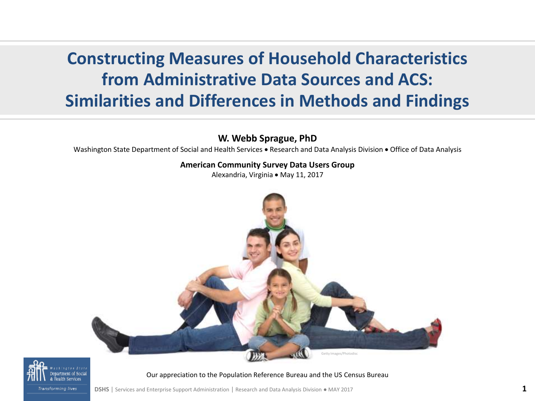#### **Constructing Measures of Household Characteristics from Administrative Data Sources and ACS: Similarities and Differences in Methods and Findings**

#### **W. Webb Sprague, PhD**

Washington State Department of Social and Health Services • Research and Data Analysis Division • Office of Data Analysis

#### **American Community Survey Data Users Group**

Alexandria, Virginia · May 11, 2017





Our appreciation to the Population Reference Bureau and the US Census Bureau

**Transforming lives** 

**DSHS** | Services and Enterprise Support Administration | Research and Data Analysis Division • MAY 2017 **1**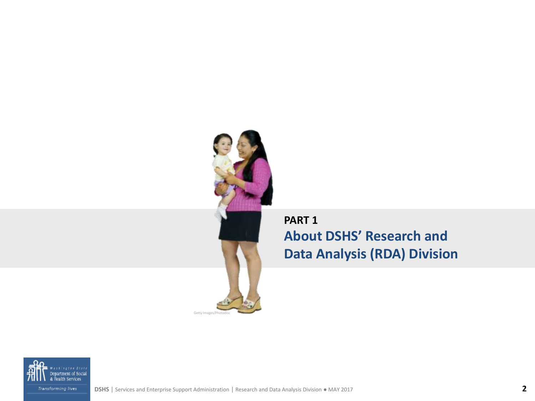

**PART 1 About DSHS' Research and Data Analysis (RDA) Division** 

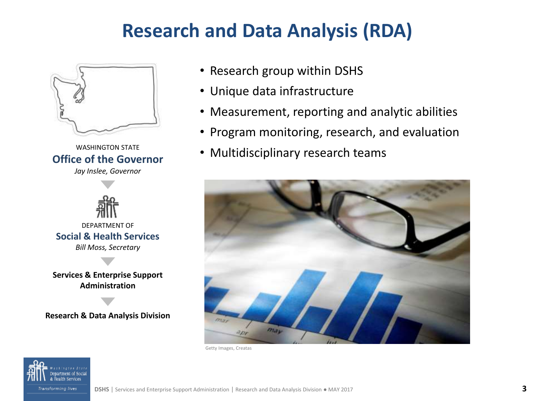## **Research and Data Analysis (RDA)**



WASHINGTON STATE **Office of the Governor**





**Administration**

**Research & Data Analysis Division**

- Research group within DSHS
- Unique data infrastructure
- Measurement, reporting and analytic abilities
- Program monitoring, research, and evaluation
- Multidisciplinary research teams



Getty Images, Creatas

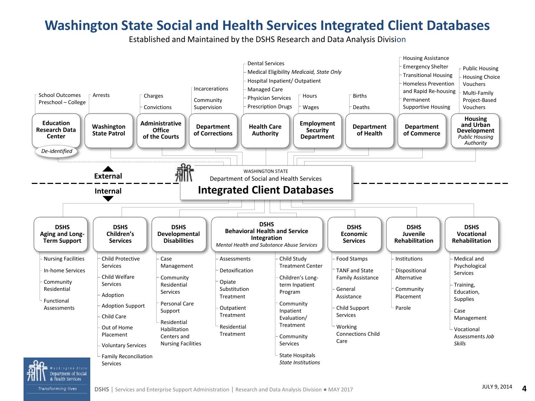#### **Washington State Social and Health Services Integrated Client Databases**

Established and Maintained by the DSHS Research and Data Analysis Division

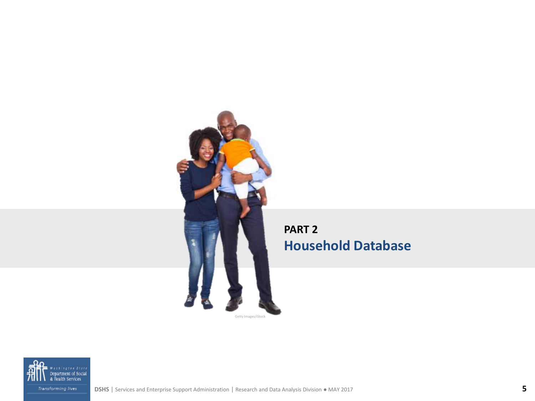

#### **PART 2 Household Database**



**DSHS** | Services and Enterprise Support Administration | Research and Data Analysis Division ● MAY 2017 **5**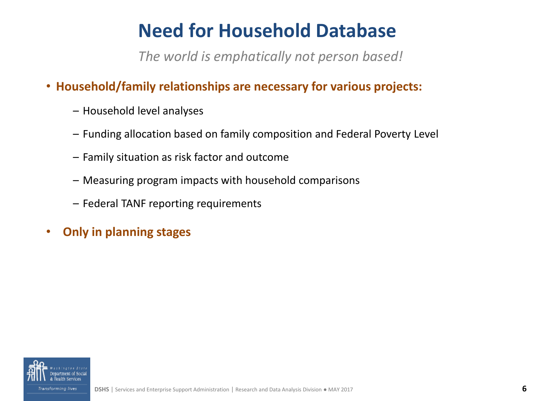# **Need for Household Database**

*The world is emphatically not person based!*

- **Household/family relationships are necessary for various projects:**
	- Household level analyses
	- Funding allocation based on family composition and Federal Poverty Level
	- Family situation as risk factor and outcome
	- Measuring program impacts with household comparisons
	- Federal TANF reporting requirements
- **Only in planning stages**

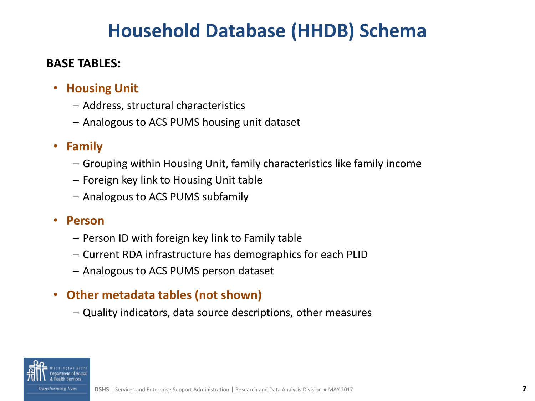## **Household Database (HHDB) Schema**

#### **BASE TABLES:**

- **Housing Unit** 
	- Address, structural characteristics
	- Analogous to ACS PUMS housing unit dataset

#### • **Family**

- Grouping within Housing Unit, family characteristics like family income
- Foreign key link to Housing Unit table
- Analogous to ACS PUMS subfamily

#### • **Person**

- Person ID with foreign key link to Family table
- Current RDA infrastructure has demographics for each PLID
- Analogous to ACS PUMS person dataset

#### • **Other metadata tables (not shown)**

– Quality indicators, data source descriptions, other measures

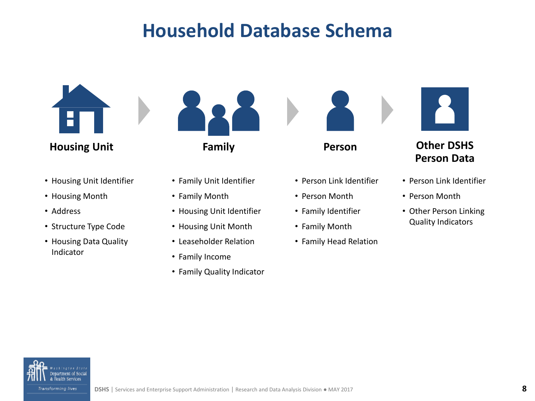## **Household Database Schema**



- Housing Unit Identifier
- Housing Month
- Address
- Structure Type Code
- Housing Data Quality Indicator



- Family Unit Identifier
- Family Month
- Housing Unit Identifier
- Housing Unit Month
- Leaseholder Relation
- Family Income
- Family Quality Indicator





- Person Link Identifier
- Person Month
- Family Identifier
- Family Month
- Family Head Relation



**Housing Unit Family Person Other DSHS Person Data**

- Person Link Identifier
- Person Month
- Other Person Linking Quality Indicators

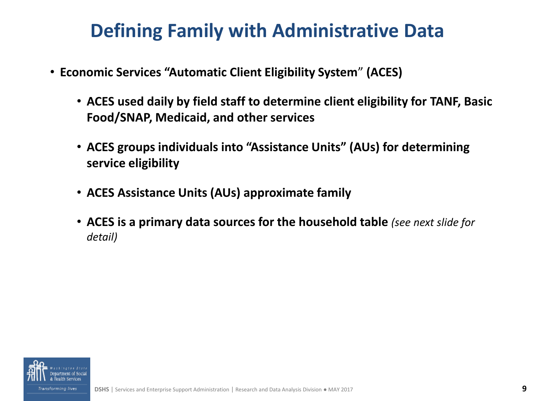## **Defining Family with Administrative Data**

- **Economic Services "Automatic Client Eligibility System**" **(ACES)** 
	- **ACES used daily by field staff to determine client eligibility for TANF, Basic Food/SNAP, Medicaid, and other services**
	- **ACES groups individuals into "Assistance Units" (AUs) for determining service eligibility**
	- **ACES Assistance Units (AUs) approximate family**
	- **ACES is a primary data sources for the household table** *(see next slide for detail)*

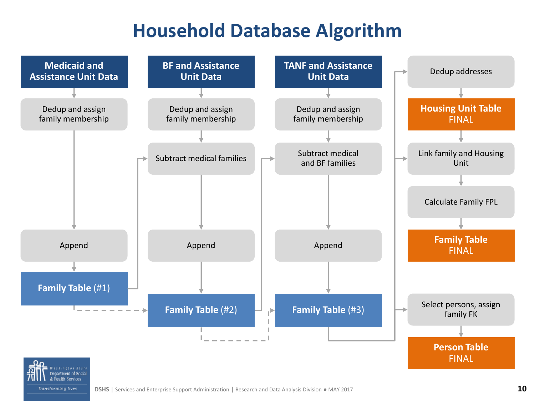### **Household Database Algorithm**

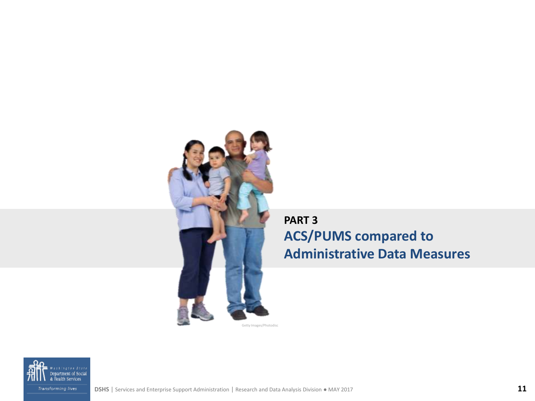

#### **PART 3 ACS/PUMS compared to Administrative Data Measures**

Getty Images/Photodisc

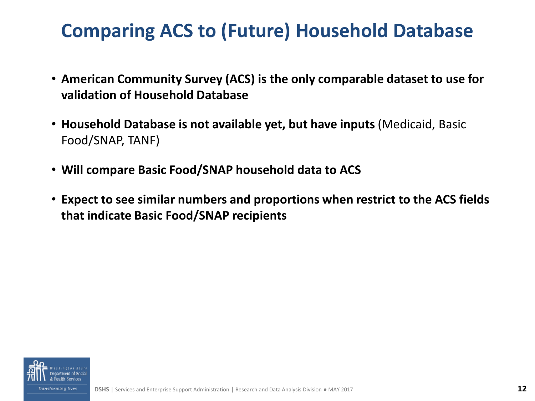# **Comparing ACS to (Future) Household Database**

- **American Community Survey (ACS) is the only comparable dataset to use for validation of Household Database**
- **Household Database is not available yet, but have inputs** (Medicaid, Basic Food/SNAP, TANF)
- **Will compare Basic Food/SNAP household data to ACS**
- **Expect to see similar numbers and proportions when restrict to the ACS fields that indicate Basic Food/SNAP recipients**

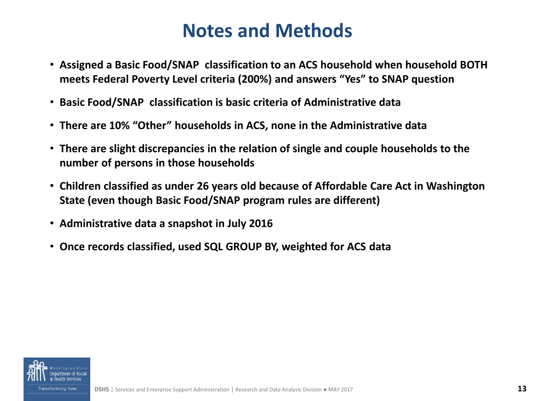### **Notes and Methods**

- **Assigned a Basic Food/SNAP classification to an ACS household when household BOTH meets Federal Poverty Level criteria (200%) and answers "Yes" to SNAP question**
- **Basic Food/SNAP classification is basic criteria of Administrative data**
- **There are 10% "Other" households in ACS, none in the Administrative data**
- **There are slight discrepancies in the relation of single and couple households to the number of persons in those households**
- **Children classified as under 26 years old because of Affordable Care Act in Washington State (even though Basic Food/SNAP program rules are different)**
- **Administrative data a snapshot in July 2016**
- **Once records classified, used SQL GROUP BY, weighted for ACS data**

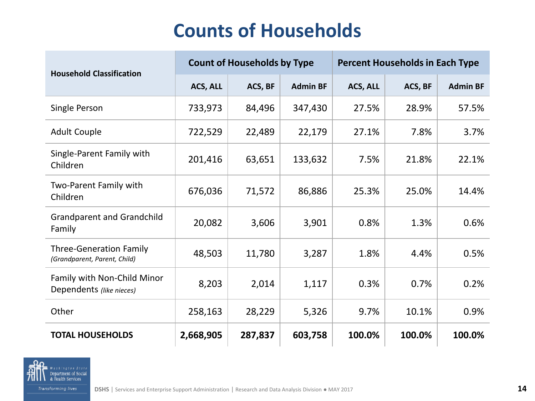# **Counts of Households**

| <b>Household Classification</b>                                | <b>Count of Households by Type</b> |         |                 | <b>Percent Households in Each Type</b> |         |                 |
|----------------------------------------------------------------|------------------------------------|---------|-----------------|----------------------------------------|---------|-----------------|
|                                                                | ACS, ALL                           | ACS, BF | <b>Admin BF</b> | ACS, ALL                               | ACS, BF | <b>Admin BF</b> |
| Single Person                                                  | 733,973                            | 84,496  | 347,430         | 27.5%                                  | 28.9%   | 57.5%           |
| <b>Adult Couple</b>                                            | 722,529                            | 22,489  | 22,179          | 27.1%                                  | 7.8%    | 3.7%            |
| Single-Parent Family with<br>Children                          | 201,416                            | 63,651  | 133,632         | 7.5%                                   | 21.8%   | 22.1%           |
| Two-Parent Family with<br>Children                             | 676,036                            | 71,572  | 86,886          | 25.3%                                  | 25.0%   | 14.4%           |
| <b>Grandparent and Grandchild</b><br>Family                    | 20,082                             | 3,606   | 3,901           | 0.8%                                   | 1.3%    | 0.6%            |
| <b>Three-Generation Family</b><br>(Grandparent, Parent, Child) | 48,503                             | 11,780  | 3,287           | 1.8%                                   | 4.4%    | 0.5%            |
| Family with Non-Child Minor<br>Dependents (like nieces)        | 8,203                              | 2,014   | 1,117           | 0.3%                                   | 0.7%    | 0.2%            |
| Other                                                          | 258,163                            | 28,229  | 5,326           | 9.7%                                   | 10.1%   | 0.9%            |
| <b>TOTAL HOUSEHOLDS</b>                                        | 2,668,905                          | 287,837 | 603,758         | 100.0%                                 | 100.0%  | 100.0%          |

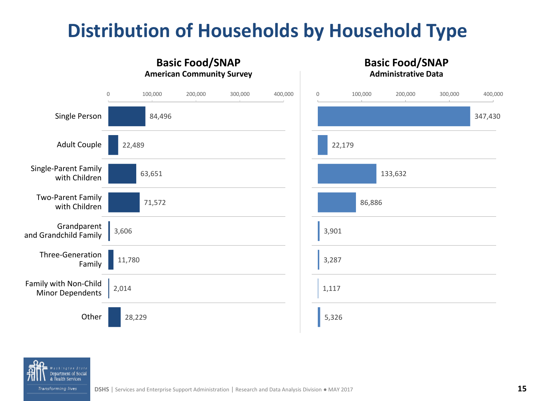# **Distribution of Households by Household Type**



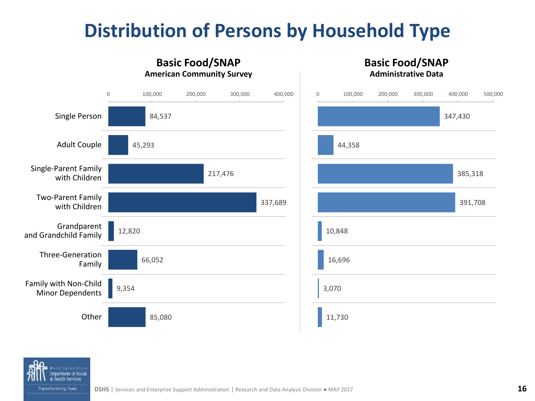# **Distribution of Persons by Household Type**



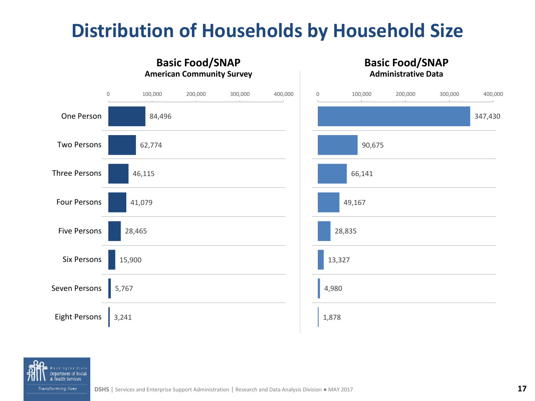# **Distribution of Households by Household Size**



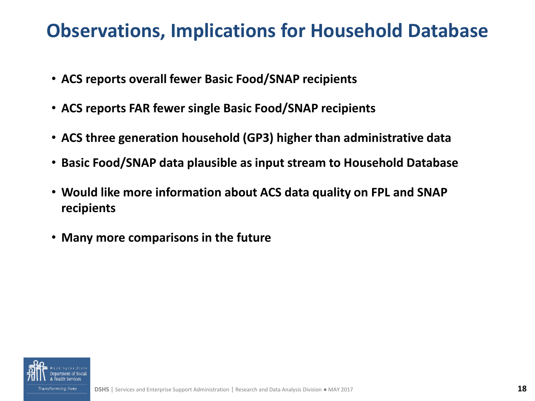#### **Observations, Implications for Household Database**

- **ACS reports overall fewer Basic Food/SNAP recipients**
- **ACS reports FAR fewer single Basic Food/SNAP recipients**
- **ACS three generation household (GP3) higher than administrative data**
- **Basic Food/SNAP data plausible as input stream to Household Database**
- **Would like more information about ACS data quality on FPL and SNAP recipients**
- **Many more comparisons in the future**